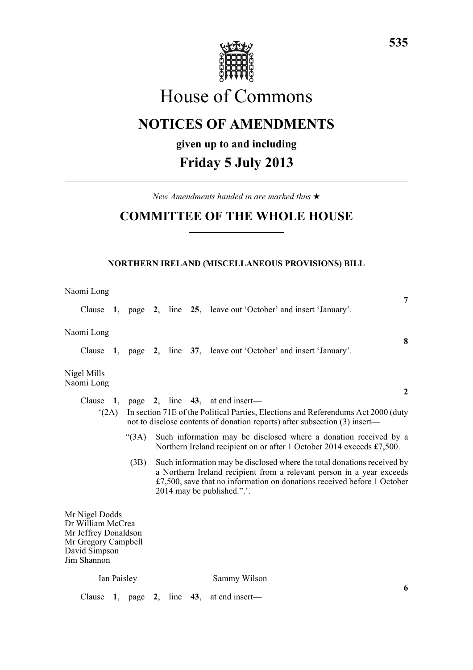

# House of Commons

## **NOTICES OF AMENDMENTS**

## **given up to and including**

## **Friday 5 July 2013**

*New Amendments handed in are marked thus* \*

## **COMMITTEE OF THE WHOLE HOUSE**

### **NORTHERN IRELAND (MISCELLANEOUS PROVISIONS) BILL**

| Naomi Long                                                                                                         |             |      |  | 7                                                                                                                                                                                                                                                            |
|--------------------------------------------------------------------------------------------------------------------|-------------|------|--|--------------------------------------------------------------------------------------------------------------------------------------------------------------------------------------------------------------------------------------------------------------|
|                                                                                                                    |             |      |  | Clause 1, page 2, line 25, leave out 'October' and insert 'January'.                                                                                                                                                                                         |
| Naomi Long                                                                                                         |             |      |  | 8                                                                                                                                                                                                                                                            |
|                                                                                                                    |             |      |  | Clause 1, page 2, line 37, leave out 'October' and insert 'January'.                                                                                                                                                                                         |
| Nigel Mills<br>Naomi Long                                                                                          |             |      |  |                                                                                                                                                                                                                                                              |
|                                                                                                                    |             |      |  | $\mathbf{2}$<br>Clause 1, page 2, line $43$ , at end insert—                                                                                                                                                                                                 |
|                                                                                                                    | (2A)        |      |  | In section 71E of the Political Parties, Elections and Referendums Act 2000 (duty<br>not to disclose contents of donation reports) after subsection (3) insert—                                                                                              |
|                                                                                                                    |             | (3A) |  | Such information may be disclosed where a donation received by a<br>Northern Ireland recipient on or after 1 October 2014 exceeds £7,500.                                                                                                                    |
|                                                                                                                    |             | (3B) |  | Such information may be disclosed where the total donations received by<br>a Northern Ireland recipient from a relevant person in a year exceeds<br>$£7,500$ , save that no information on donations received before 1 October<br>2014 may be published.".'. |
| Mr Nigel Dodds<br>Dr William McCrea<br>Mr Jeffrey Donaldson<br>Mr Gregory Campbell<br>David Simpson<br>Jim Shannon |             |      |  |                                                                                                                                                                                                                                                              |
|                                                                                                                    | Ian Paisley |      |  | Sammy Wilson                                                                                                                                                                                                                                                 |
| Clause                                                                                                             |             |      |  | 6<br>1, page 2, line 43, at end insert—                                                                                                                                                                                                                      |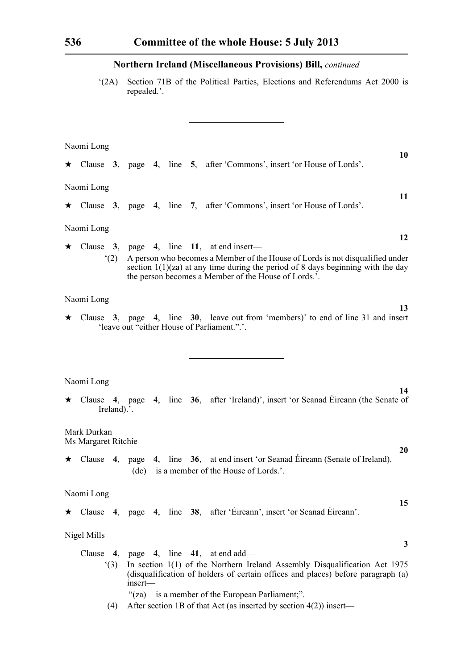'(2A) Section 71B of the Political Parties, Elections and Referendums Act 2000 is repealed.'.

**10**

**13**

**14**

**20**

**15**

**3**

Naomi Long

|            |     |  |  | $\star$ Clause 3, page 4, line 5, after 'Commons', insert 'or House of Lords'.                                                                                                                                             |    |
|------------|-----|--|--|----------------------------------------------------------------------------------------------------------------------------------------------------------------------------------------------------------------------------|----|
| Naomi Long |     |  |  |                                                                                                                                                                                                                            | 11 |
|            |     |  |  | $\star$ Clause 3, page 4, line 7, after 'Commons', insert 'or House of Lords'.                                                                                                                                             |    |
| Naomi Long |     |  |  |                                                                                                                                                                                                                            | 12 |
|            |     |  |  | Clause $3$ , page $4$ , line 11, at end insert—                                                                                                                                                                            |    |
|            | (2) |  |  | A person who becomes a Member of the House of Lords is not disqualified under<br>section $1(1)(za)$ at any time during the period of 8 days beginning with the day<br>the person becomes a Member of the House of Lords.'. |    |

### Naomi Long

\* Clause **3**, page **4**, line **30**, leave out from 'members)' to end of line 31 and insert 'leave out "either House of Parliament.".'.

### Naomi Long

\* Clause **4**, page **4**, line **36**, after 'Ireland)', insert 'or Seanad Éireann (the Senate of Ireland).<sup>5</sup>.

Mark Durkan Ms Margaret Ritchie

\* Clause **4**, page **4**, line **36**, at end insert 'or Seanad Éireann (Senate of Ireland). (dc) is a member of the House of Lords.'.

### Naomi Long

\* Clause **4**, page **4**, line **38**, after 'Éireann', insert 'or Seanad Éireann'.

### Nigel Mills

| Clause 4, page 4, line 41, at end add—                                           |
|----------------------------------------------------------------------------------|
| In section $1(1)$ of the Northern Ireland Assembly Disqualification Act 1975     |
| (disqualification of holders of certain offices and places) before paragraph (a) |
| $insert$ —                                                                       |
| "(za) is a member of the European Parliament;".                                  |

(4) After section 1B of that Act (as inserted by section 4(2)) insert—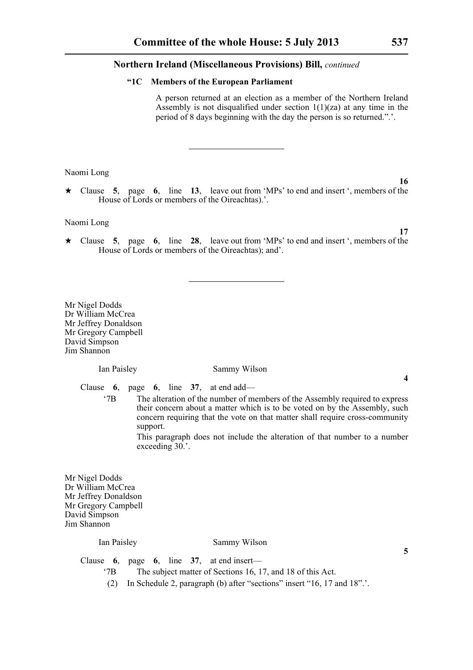### **"1C Members of the European Parliament**

A person returned at an election as a member of the Northern Ireland Assembly is not disqualified under section  $1(1)(za)$  at any time in the period of 8 days beginning with the day the person is so returned.".'.

Naomi Long

\* Clause **5**, page **6**, line **13**, leave out from 'MPs' to end and insert ', members of the House of Lords or members of the Oireachtas).'.

Naomi Long

\* Clause **5**, page **6**, line **28**, leave out from 'MPs' to end and insert ', members of the House of Lords or members of the Oireachtas); and'.

Mr Nigel Dodds Dr William McCrea Mr Jeffrey Donaldson Mr Gregory Campbell David Simpson Jim Shannon

Ian Paisley Sammy Wilson

Clause **6**, page **6**, line **37**, at end add—

'7B The alteration of the number of members of the Assembly required to express their concern about a matter which is to be voted on by the Assembly, such concern requiring that the vote on that matter shall require cross-community support.

> This paragraph does not include the alteration of that number to a number exceeding 30.'.

Mr Nigel Dodds Dr William McCrea Mr Jeffrey Donaldson Mr Gregory Campbell David Simpson Jim Shannon

### Ian Paisley Sammy Wilson

Clause **6**, page **6**, line **37**, at end insert—

- '7B The subject matter of Sections 16, 17, and 18 of this Act.
- (2) In Schedule 2, paragraph (b) after "sections" insert "16, 17 and 18".'.

**17**

**16**

### **4**

**5**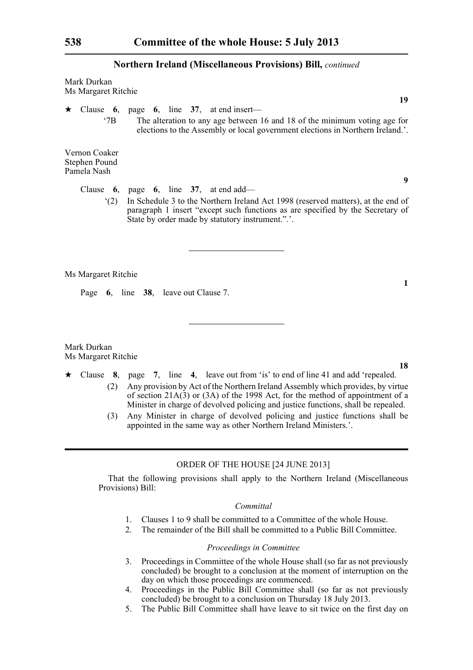Mark Durkan Ms Margaret Ritchie

\* Clause **6**, page **6**, line **37**, at end insert—

'7B The alteration to any age between 16 and 18 of the minimum voting age for elections to the Assembly or local government elections in Northern Ireland.'.

Vernon Coaker Stephen Pound Pamela Nash

Clause **6**, page **6**, line **37**, at end add—

'(2) In Schedule 3 to the Northern Ireland Act 1998 (reserved matters), at the end of paragraph 1 insert "except such functions as are specified by the Secretary of State by order made by statutory instrument.".'.

Ms Margaret Ritchie

Page **6**, line **38**, leave out Clause 7.

Mark Durkan Ms Margaret Ritchie

- $\star$  Clause 8, page 7, line 4, leave out from 'is' to end of line 41 and add 'repealed. (2) Any provision by Act of the Northern Ireland Assembly which provides, by virtue of section 21A(3) or (3A) of the 1998 Act, for the method of appointment of a Minister in charge of devolved policing and justice functions, shall be repealed.
	- (3) Any Minister in charge of devolved policing and justice functions shall be appointed in the same way as other Northern Ireland Ministers.'.

### ORDER OF THE HOUSE [24 JUNE 2013]

That the following provisions shall apply to the Northern Ireland (Miscellaneous Provisions) Bill:

### *Committal*

- 1. Clauses 1 to 9 shall be committed to a Committee of the whole House.
- 2. The remainder of the Bill shall be committed to a Public Bill Committee.

### *Proceedings in Committee*

- 3. Proceedings in Committee of the whole House shall (so far as not previously concluded) be brought to a conclusion at the moment of interruption on the day on which those proceedings are commenced.
- 4. Proceedings in the Public Bill Committee shall (so far as not previously concluded) be brought to a conclusion on Thursday 18 July 2013.
- 5. The Public Bill Committee shall have leave to sit twice on the first day on

**1**

**9**

**19**

**18**